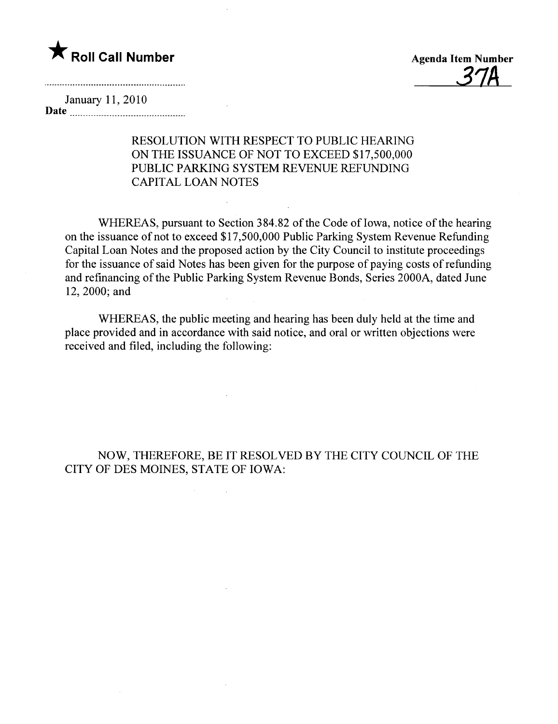# \* Roll Call Number Agenda Item Number

37A

January 11,2010 Date  $\frac{1}{1}$ 

### RESOLUTION WITH RESPECT TO PUBLIC HEARING ON THE ISSUANCE OF NOT TO EXCEED \$17,500,000 PUBLIC PARKING SYSTEM REVENUE REFUNDING CAPITAL LOAN NOTES

WHEREAS, pursuant to Section 384.82 of the Code of Iowa, notice of the hearing on the issuance of not to exceed \$17,500,000 Public Parking System Revenue Refunding Capital Loan Notes and the proposed action by the City Council to institute proceedings for the issuance of said Notes has been given for the purpose of paying costs of refunding and refinancing of the Public Parking System Revenue Bonds, Series 2000A, dated June 12,2000; and

WHEREAS, the public meeting and hearing has been duly held at the time and place provided and in accordance with said notice, and oral or written objections were received and filed, including the following:

#### NOW, THEREFORE, BE IT RESOLVED BY THE CITY COUNCIL OF THE CITY OF DES MOINES, STATE OF IOWA:

 $\sim$   $\sim$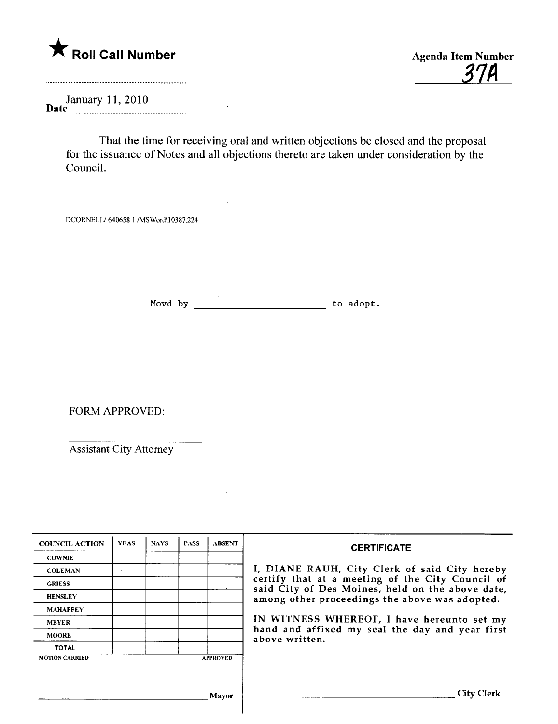

31A

January 11, 2010<br>Date

That the time for receiving oral and written objections be closed and the proposal for the issuance of Notes and all objections thereto are taken under consideration by the CounciL.

DCORNELL/ 640658.1 /MSWord\10387.224

Movd by to adopt.

FORM APPROVED:

Assistant City Attorney

| <b>COUNCIL ACTION</b> | <b>YEAS</b> | <b>NAYS</b> | <b>PASS</b> | <b>ABSENT</b>   | <b>CERTIFICATE</b>                                                                                                                                                                                                                                                                                                         |
|-----------------------|-------------|-------------|-------------|-----------------|----------------------------------------------------------------------------------------------------------------------------------------------------------------------------------------------------------------------------------------------------------------------------------------------------------------------------|
| <b>COWNIE</b>         |             |             |             |                 | I, DIANE RAUH, City Clerk of said City hereby<br>certify that at a meeting of the City Council of<br>said City of Des Moines, held on the above date,<br>among other proceedings the above was adopted.<br>IN WITNESS WHEREOF, I have hereunto set my<br>hand and affixed my seal the day and year first<br>above written. |
| <b>COLEMAN</b>        |             |             |             |                 |                                                                                                                                                                                                                                                                                                                            |
| <b>GRIESS</b>         |             |             |             |                 |                                                                                                                                                                                                                                                                                                                            |
| <b>HENSLEY</b>        |             |             |             |                 |                                                                                                                                                                                                                                                                                                                            |
| <b>MAHAFFEY</b>       |             |             |             |                 |                                                                                                                                                                                                                                                                                                                            |
| <b>MEYER</b>          |             |             |             |                 |                                                                                                                                                                                                                                                                                                                            |
| <b>MOORE</b>          |             |             |             |                 |                                                                                                                                                                                                                                                                                                                            |
| <b>TOTAL</b>          |             |             |             |                 |                                                                                                                                                                                                                                                                                                                            |
| <b>MOTION CARRIED</b> |             |             |             | <b>APPROVED</b> |                                                                                                                                                                                                                                                                                                                            |
|                       |             |             |             |                 |                                                                                                                                                                                                                                                                                                                            |
|                       |             |             |             |                 |                                                                                                                                                                                                                                                                                                                            |
|                       |             |             |             | Mavor           | City (                                                                                                                                                                                                                                                                                                                     |
|                       |             |             |             |                 |                                                                                                                                                                                                                                                                                                                            |

 $\mathsf{l}$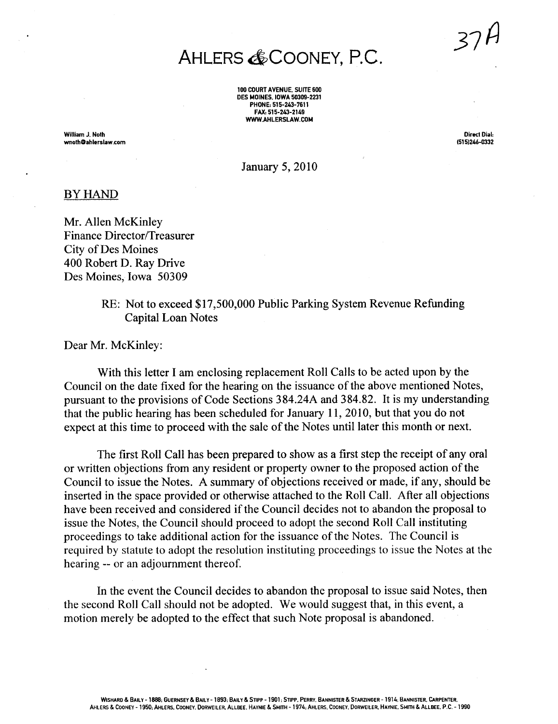## AHLERS & COONEY, P.C.

100 COURT AVENUE. SUITE 600 DES MOINES. IOWA 50309-2231 PHONE: 515-243-7611 FAX: 515-243-2149 WWW AHLERSLAW.COM

Willam J. Nolh wnolhOahlerslaw.com

Direct Dial. (515)246-032

January 5, 2010

#### BY HAND

Mr. Allen McKinley Finance Director/Treasurer City of Des Moines 400 Robert D. Ray Drive Des Moines, Iowa 50309

> RE: Not to exceed \$17,500,000 Public Parking System Revenue Refunding Capital Loan Notes

Dear Mr. McKinley:

With this letter I am enclosing replacement Roll Calls to be acted upon by the Council on the date fixed for the hearing on the issuance of the above mentioned Notes, pursuant to the provisions of Code Sections 384.24A and 384.82. It is my understanding that the public hearing has been scheduled for January 11, 2010, but that you do not expect at this time to proceed with the sale of the Notes until later this month or next.

The first Roll Call has been prepared to show as a first step the receipt of any oral or written objections from any resident or property owner to the proposed action of the Council to issue the Notes. A summary of objections received or made, if any, should be inserted in the space provided or otherwise attached to the Roll Call. After all objections have been received and considered if the Council decides not to abandon the proposal to issue the Notes, the Council should proceed to adopt the second Roll Call instituting proceedings to take additional action for the issuance of the Notes. The Council is required by statute to adopt the resolution instituting proceedings to issue the Notes at the hearing -- or an adjournment thereof.

In the event the Council decides to abandon the proposal to issue said Notes, then the second Roll Call should not be adopted. We would suggest that, in this event, a motion merely be adopted to the effect that such Note proposal is abandoned.